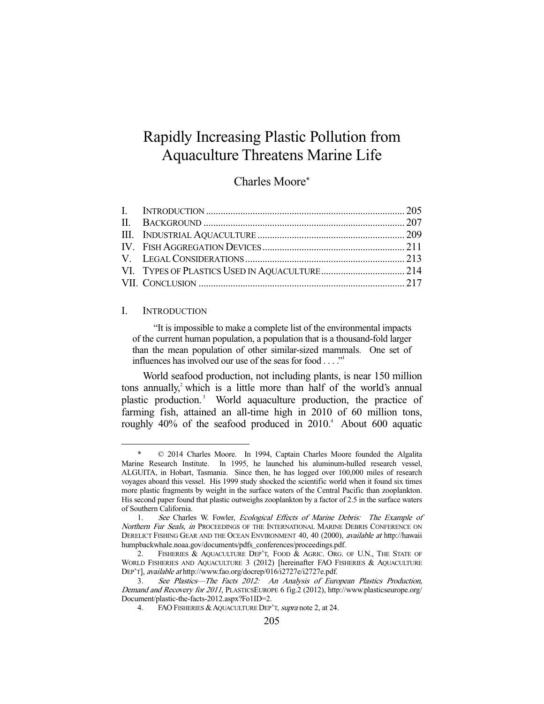# Rapidly Increasing Plastic Pollution from Aquaculture Threatens Marine Life

# Charles Moore\*

#### I. INTRODUCTION

-

 "It is impossible to make a complete list of the environmental impacts of the current human population, a population that is a thousand-fold larger than the mean population of other similar-sized mammals. One set of influences has involved our use of the seas for food  $\dots$ ."

 World seafood production, not including plants, is near 150 million tons annually, $\lambda^2$  which is a little more than half of the world's annual plastic production.<sup>3</sup> World aquaculture production, the practice of farming fish, attained an all-time high in 2010 of 60 million tons, roughly  $40\%$  of the seafood produced in  $2010$ .<sup>4</sup> About 600 aquatic

 <sup>\* © 2014</sup> Charles Moore. In 1994, Captain Charles Moore founded the Algalita Marine Research Institute. In 1995, he launched his aluminum-hulled research vessel, ALGUITA, in Hobart, Tasmania. Since then, he has logged over 100,000 miles of research voyages aboard this vessel. His 1999 study shocked the scientific world when it found six times more plastic fragments by weight in the surface waters of the Central Pacific than zooplankton. His second paper found that plastic outweighs zooplankton by a factor of 2.5 in the surface waters of Southern California.

<sup>1.</sup> See Charles W. Fowler, *Ecological Effects of Marine Debris:* The Example of Northern Fur Seals, in PROCEEDINGS OF THE INTERNATIONAL MARINE DEBRIS CONFERENCE ON DERELICT FISHING GEAR AND THE OCEAN ENVIRONMENT 40, 40 (2000), *available at* http://hawaii humpbackwhale.noaa.gov/documents/pdfs\_conferences/proceedings.pdf.

<sup>2.</sup> FISHERIES & AQUACULTURE DEP'T, FOOD & AGRIC. ORG. OF U.N., THE STATE OF WORLD FISHERIES AND AQUACULTURE 3 (2012) [hereinafter FAO FISHERIES & AQUACULTURE DEP'T], available at http://www.fao.org/docrep/016/i2727e/i2727e.pdf.

 <sup>3.</sup> See Plastics—The Facts 2012: An Analysis of European Plastics Production, Demand and Recovery for 2011, PLASTICSEUROPE 6 fig.2 (2012), http://www.plasticseurope.org/ Document/plastic-the-facts-2012.aspx?Fo1ID=2.

<sup>4.</sup> FAO FISHERIES & AQUACULTURE DEP'T, supra note 2, at 24.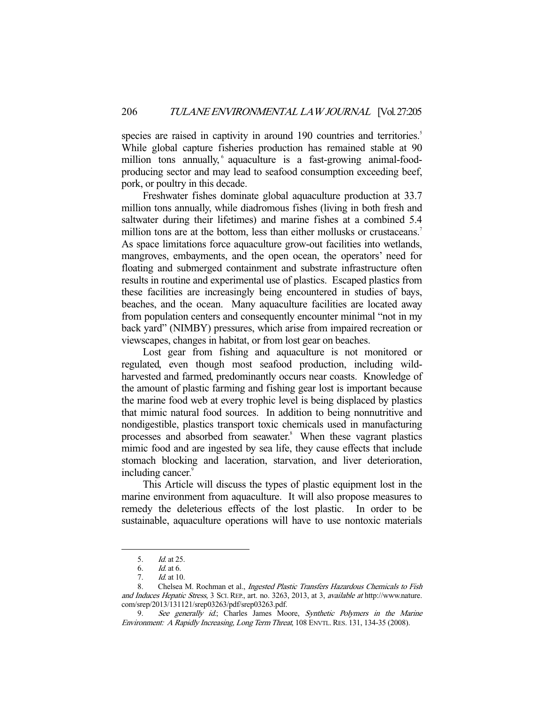species are raised in captivity in around 190 countries and territories.<sup>5</sup> While global capture fisheries production has remained stable at 90 million tons annually, aquaculture is a fast-growing animal-foodproducing sector and may lead to seafood consumption exceeding beef, pork, or poultry in this decade.

 Freshwater fishes dominate global aquaculture production at 33.7 million tons annually, while diadromous fishes (living in both fresh and saltwater during their lifetimes) and marine fishes at a combined 5.4 million tons are at the bottom, less than either mollusks or crustaceans.<sup>7</sup> As space limitations force aquaculture grow-out facilities into wetlands, mangroves, embayments, and the open ocean, the operators' need for floating and submerged containment and substrate infrastructure often results in routine and experimental use of plastics. Escaped plastics from these facilities are increasingly being encountered in studies of bays, beaches, and the ocean. Many aquaculture facilities are located away from population centers and consequently encounter minimal "not in my back yard" (NIMBY) pressures, which arise from impaired recreation or viewscapes, changes in habitat, or from lost gear on beaches.

 Lost gear from fishing and aquaculture is not monitored or regulated, even though most seafood production, including wildharvested and farmed, predominantly occurs near coasts. Knowledge of the amount of plastic farming and fishing gear lost is important because the marine food web at every trophic level is being displaced by plastics that mimic natural food sources. In addition to being nonnutritive and nondigestible, plastics transport toxic chemicals used in manufacturing processes and absorbed from seawater.<sup>8</sup> When these vagrant plastics mimic food and are ingested by sea life, they cause effects that include stomach blocking and laceration, starvation, and liver deterioration, including cancer.<sup>9</sup>

 This Article will discuss the types of plastic equipment lost in the marine environment from aquaculture. It will also propose measures to remedy the deleterious effects of the lost plastic. In order to be sustainable, aquaculture operations will have to use nontoxic materials

 <sup>5.</sup> Id. at 25.

 <sup>6.</sup> Id. at 6.

 <sup>7.</sup> Id. at 10.

<sup>8.</sup> Chelsea M. Rochman et al., Ingested Plastic Transfers Hazardous Chemicals to Fish and Induces Hepatic Stress, 3 SCI. REP., art. no. 3263, 2013, at 3, available at http://www.nature. com/srep/2013/131121/srep03263/pdf/srep03263.pdf.

<sup>9.</sup> See generally id.; Charles James Moore, Synthetic Polymers in the Marine Environment: A Rapidly Increasing, Long Term Threat, 108 ENVTL. RES. 131, 134-35 (2008).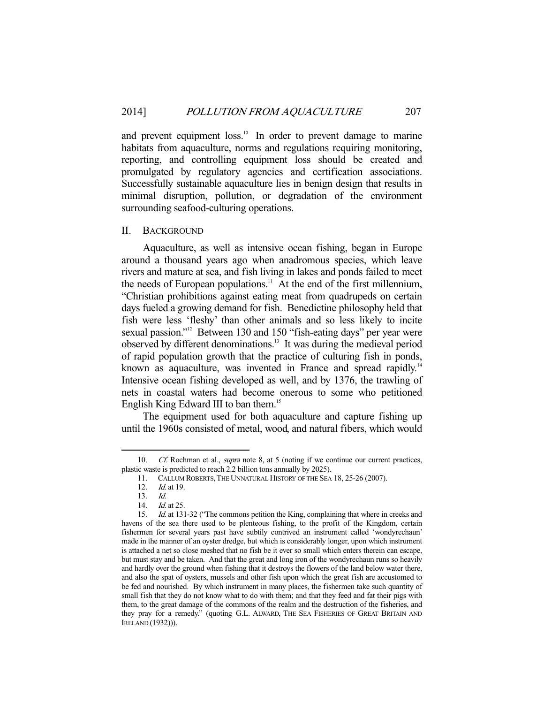and prevent equipment loss.<sup>10</sup> In order to prevent damage to marine habitats from aquaculture, norms and regulations requiring monitoring, reporting, and controlling equipment loss should be created and promulgated by regulatory agencies and certification associations. Successfully sustainable aquaculture lies in benign design that results in minimal disruption, pollution, or degradation of the environment surrounding seafood-culturing operations.

# II. BACKGROUND

 Aquaculture, as well as intensive ocean fishing, began in Europe around a thousand years ago when anadromous species, which leave rivers and mature at sea, and fish living in lakes and ponds failed to meet the needs of European populations.<sup>11</sup> At the end of the first millennium, "Christian prohibitions against eating meat from quadrupeds on certain days fueled a growing demand for fish. Benedictine philosophy held that fish were less 'fleshy' than other animals and so less likely to incite sexual passion."<sup>12</sup> Between 130 and 150 "fish-eating days" per year were observed by different denominations.13 It was during the medieval period of rapid population growth that the practice of culturing fish in ponds, known as aquaculture, was invented in France and spread rapidly.<sup>14</sup> Intensive ocean fishing developed as well, and by 1376, the trawling of nets in coastal waters had become onerous to some who petitioned English King Edward III to ban them.<sup>15</sup>

 The equipment used for both aquaculture and capture fishing up until the 1960s consisted of metal, wood, and natural fibers, which would

<sup>10.</sup> Cf. Rochman et al., *supra* note 8, at 5 (noting if we continue our current practices, plastic waste is predicted to reach 2.2 billion tons annually by 2025).

 <sup>11.</sup> CALLUM ROBERTS,THE UNNATURAL HISTORY OF THE SEA 18, 25-26 (2007).

 <sup>12.</sup> Id. at 19.

<sup>13.</sup>  $Id.$ <br>14.  $Id.$ 

*Id.* at 25.

<sup>15.</sup> *Id.* at 131-32 ("The commons petition the King, complaining that where in creeks and havens of the sea there used to be plenteous fishing, to the profit of the Kingdom, certain fishermen for several years past have subtily contrived an instrument called 'wondyrechaun' made in the manner of an oyster dredge, but which is considerably longer, upon which instrument is attached a net so close meshed that no fish be it ever so small which enters therein can escape, but must stay and be taken. And that the great and long iron of the wondyrechaun runs so heavily and hardly over the ground when fishing that it destroys the flowers of the land below water there, and also the spat of oysters, mussels and other fish upon which the great fish are accustomed to be fed and nourished. By which instrument in many places, the fishermen take such quantity of small fish that they do not know what to do with them; and that they feed and fat their pigs with them, to the great damage of the commons of the realm and the destruction of the fisheries, and they pray for a remedy." (quoting G.L. ALWARD, THE SEA FISHERIES OF GREAT BRITAIN AND IRELAND (1932))).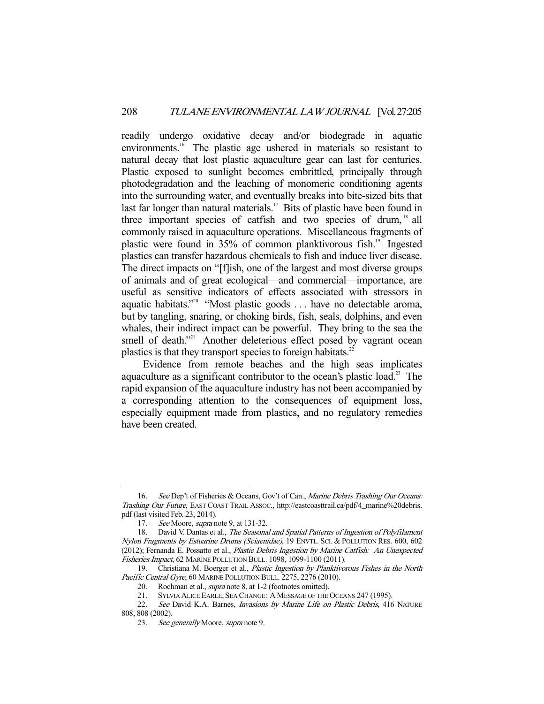readily undergo oxidative decay and/or biodegrade in aquatic environments.<sup>16</sup> The plastic age ushered in materials so resistant to natural decay that lost plastic aquaculture gear can last for centuries. Plastic exposed to sunlight becomes embrittled, principally through photodegradation and the leaching of monomeric conditioning agents into the surrounding water, and eventually breaks into bite-sized bits that last far longer than natural materials.<sup>17</sup> Bits of plastic have been found in three important species of catfish and two species of drum, 18 all commonly raised in aquaculture operations. Miscellaneous fragments of plastic were found in 35% of common planktivorous fish.<sup>19</sup> Ingested plastics can transfer hazardous chemicals to fish and induce liver disease. The direct impacts on "[f]ish, one of the largest and most diverse groups of animals and of great ecological—and commercial—importance, are useful as sensitive indicators of effects associated with stressors in aquatic habitats."20 "Most plastic goods . . . have no detectable aroma, but by tangling, snaring, or choking birds, fish, seals, dolphins, and even whales, their indirect impact can be powerful. They bring to the sea the smell of death."<sup>21</sup> Another deleterious effect posed by vagrant ocean plastics is that they transport species to foreign habitats.<sup>22</sup>

 Evidence from remote beaches and the high seas implicates aquaculture as a significant contributor to the ocean's plastic load.<sup>23</sup> The rapid expansion of the aquaculture industry has not been accompanied by a corresponding attention to the consequences of equipment loss, especially equipment made from plastics, and no regulatory remedies have been created.

<sup>16.</sup> See Dep't of Fisheries & Oceans, Gov't of Can., Marine Debris Trashing Our Oceans: Trashing Our Future, EAST COAST TRAIL ASSOC., http://eastcoasttrail.ca/pdf/4\_marine%20debris. pdf (last visited Feb. 23, 2014).

<sup>17.</sup> See Moore, *supra* note 9, at 131-32.

<sup>18.</sup> David V. Dantas et al., The Seasonal and Spatial Patterns of Ingestion of Polyfilament Nylon Fragments by Estuarine Drums (Sciaenidae), 19 ENVTL. SCI. & POLLUTION RES. 600, 602 (2012); Fernanda E. Possatto et al., Plastic Debris Ingestion by Marine Catfish: An Unexpected Fisheries Impact, 62 MARINE POLLUTION BULL. 1098, 1099-1100 (2011).

<sup>19.</sup> Christiana M. Boerger et al., Plastic Ingestion by Planktivorous Fishes in the North Pacific Central Gyre, 60 MARINE POLLUTION BULL. 2275, 2276 (2010).

<sup>20.</sup> Rochman et al., *supra* note 8, at 1-2 (footnotes omitted).<br>21. SYLVIA ALICE EARLE, SEA CHANGE: A MESSAGE OF THE

 <sup>21.</sup> SYLVIA ALICE EARLE, SEA CHANGE: A MESSAGE OF THE OCEANS 247 (1995).

<sup>22.</sup> See David K.A. Barnes, Invasions by Marine Life on Plastic Debris, 416 NATURE 808, 808 (2002).

<sup>23.</sup> See generally Moore, supra note 9.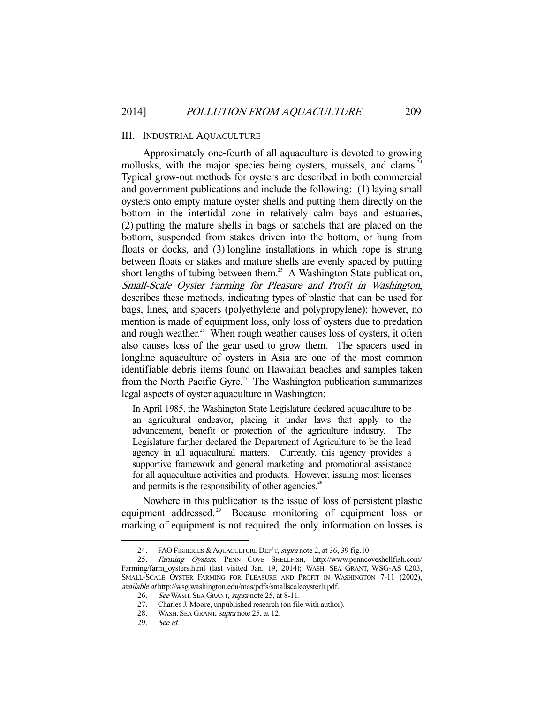#### III. INDUSTRIAL AQUACULTURE

 Approximately one-fourth of all aquaculture is devoted to growing mollusks, with the major species being oysters, mussels, and clams.<sup>2</sup> Typical grow-out methods for oysters are described in both commercial and government publications and include the following: (1) laying small oysters onto empty mature oyster shells and putting them directly on the bottom in the intertidal zone in relatively calm bays and estuaries, (2) putting the mature shells in bags or satchels that are placed on the bottom, suspended from stakes driven into the bottom, or hung from floats or docks, and (3) longline installations in which rope is strung between floats or stakes and mature shells are evenly spaced by putting short lengths of tubing between them.<sup>25</sup> A Washington State publication, Small-Scale Oyster Farming for Pleasure and Profit in Washington, describes these methods, indicating types of plastic that can be used for bags, lines, and spacers (polyethylene and polypropylene); however, no mention is made of equipment loss, only loss of oysters due to predation and rough weather.<sup>26</sup> When rough weather causes loss of oysters, it often also causes loss of the gear used to grow them. The spacers used in longline aquaculture of oysters in Asia are one of the most common identifiable debris items found on Hawaiian beaches and samples taken from the North Pacific Gyre.<sup>27</sup> The Washington publication summarizes legal aspects of oyster aquaculture in Washington:

In April 1985, the Washington State Legislature declared aquaculture to be an agricultural endeavor, placing it under laws that apply to the advancement, benefit or protection of the agriculture industry. The Legislature further declared the Department of Agriculture to be the lead agency in all aquacultural matters. Currently, this agency provides a supportive framework and general marketing and promotional assistance for all aquaculture activities and products. However, issuing most licenses and permits is the responsibility of other agencies.<sup>28</sup>

 Nowhere in this publication is the issue of loss of persistent plastic equipment addressed.<sup>29</sup> Because monitoring of equipment loss or marking of equipment is not required, the only information on losses is

<sup>24.</sup> FAO FISHERIES & AQUACULTURE DEP'T, supra note 2, at 36, 39 fig.10.

 <sup>25.</sup> Farming Oysters, PENN COVE SHELLFISH, http://www.penncoveshellfish.com/ Farming/farm\_oysters.html (last visited Jan. 19, 2014); WASH. SEA GRANT, WSG-AS 0203, SMALL-SCALE OYSTER FARMING FOR PLEASURE AND PROFIT IN WASHINGTON 7-11 (2002), available at http://wsg.washington.edu/mas/pdfs/smallscaleoysterlr.pdf.

<sup>26.</sup> See WASH. SEA GRANT, supra note 25, at 8-11.

<sup>27.</sup> Charles J. Moore, unpublished research (on file with author).<br>28. WASH. SEA GRANT. *supra* note 25, at 12.

<sup>28.</sup> WASH. SEA GRANT, *supra* note 25, at 12.<br>29. See id.

See id.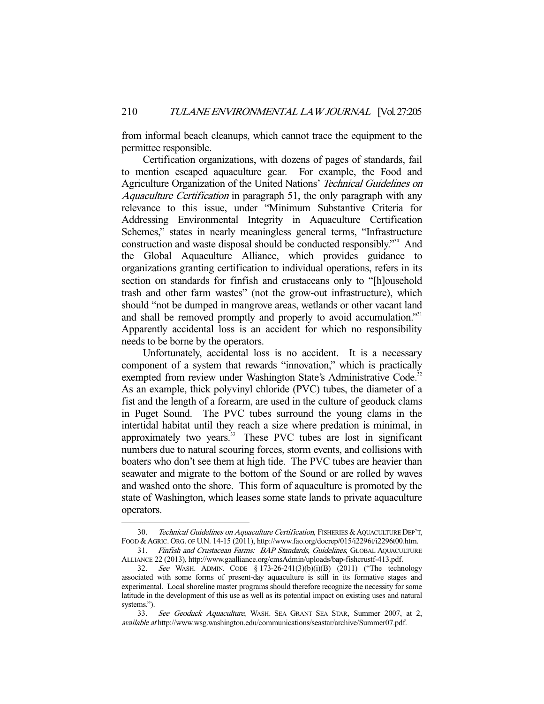from informal beach cleanups, which cannot trace the equipment to the permittee responsible.

 Certification organizations, with dozens of pages of standards, fail to mention escaped aquaculture gear. For example, the Food and Agriculture Organization of the United Nations' Technical Guidelines on Aquaculture Certification in paragraph 51, the only paragraph with any relevance to this issue, under "Minimum Substantive Criteria for Addressing Environmental Integrity in Aquaculture Certification Schemes," states in nearly meaningless general terms, "Infrastructure construction and waste disposal should be conducted responsibly."30 And the Global Aquaculture Alliance, which provides guidance to organizations granting certification to individual operations, refers in its section on standards for finfish and crustaceans only to "[h]ousehold trash and other farm wastes" (not the grow-out infrastructure), which should "not be dumped in mangrove areas, wetlands or other vacant land and shall be removed promptly and properly to avoid accumulation."<sup>31</sup> Apparently accidental loss is an accident for which no responsibility needs to be borne by the operators.

 Unfortunately, accidental loss is no accident. It is a necessary component of a system that rewards "innovation," which is practically exempted from review under Washington State's Administrative Code.<sup>32</sup> As an example, thick polyvinyl chloride (PVC) tubes, the diameter of a fist and the length of a forearm, are used in the culture of geoduck clams in Puget Sound. The PVC tubes surround the young clams in the intertidal habitat until they reach a size where predation is minimal, in approximately two years.<sup>33</sup> These PVC tubes are lost in significant numbers due to natural scouring forces, storm events, and collisions with boaters who don't see them at high tide. The PVC tubes are heavier than seawater and migrate to the bottom of the Sound or are rolled by waves and washed onto the shore. This form of aquaculture is promoted by the state of Washington, which leases some state lands to private aquaculture operators.

<sup>30.</sup> Technical Guidelines on Aquaculture Certification, FISHERIES & AQUACULTURE DEP'T, FOOD &AGRIC. ORG. OF U.N. 14-15 (2011), http://www.fao.org/docrep/015/i2296t/i2296t00.htm. 31. Finfish and Crustacean Farms: BAP Standards, Guidelines, GLOBAL AQUACULTURE

ALLIANCE 22 (2013), http://www.gaalliance.org/cmsAdmin/uploads/bap-fishcrustf-413.pdf.

 <sup>32.</sup> See WASH. ADMIN. CODE § 173-26-241(3)(b)(i)(B) (2011) ("The technology associated with some forms of present-day aquaculture is still in its formative stages and experimental. Local shoreline master programs should therefore recognize the necessity for some latitude in the development of this use as well as its potential impact on existing uses and natural systems.").

 <sup>33.</sup> See Geoduck Aquaculture, WASH. SEA GRANT SEA STAR, Summer 2007, at 2, available at http://www.wsg.washington.edu/communications/seastar/archive/Summer07.pdf.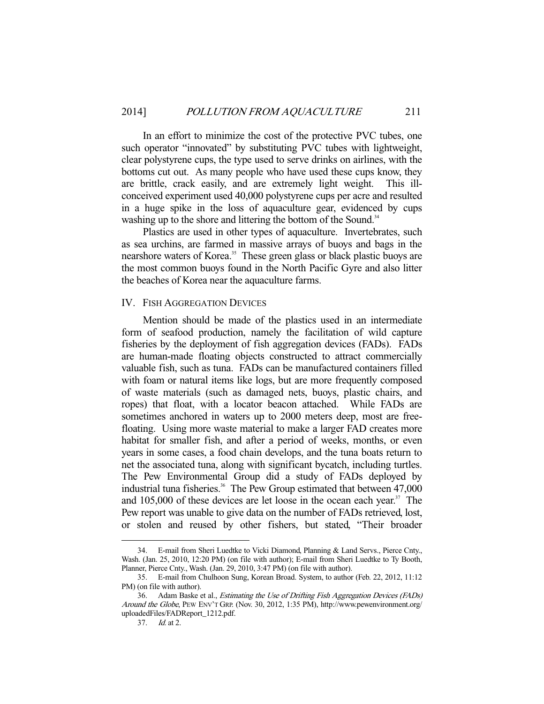In an effort to minimize the cost of the protective PVC tubes, one such operator "innovated" by substituting PVC tubes with lightweight, clear polystyrene cups, the type used to serve drinks on airlines, with the bottoms cut out. As many people who have used these cups know, they are brittle, crack easily, and are extremely light weight. This illconceived experiment used 40,000 polystyrene cups per acre and resulted in a huge spike in the loss of aquaculture gear, evidenced by cups washing up to the shore and littering the bottom of the Sound.<sup>34</sup>

 Plastics are used in other types of aquaculture. Invertebrates, such as sea urchins, are farmed in massive arrays of buoys and bags in the nearshore waters of Korea.<sup>35</sup> These green glass or black plastic buoys are the most common buoys found in the North Pacific Gyre and also litter the beaches of Korea near the aquaculture farms.

#### IV. FISH AGGREGATION DEVICES

 Mention should be made of the plastics used in an intermediate form of seafood production, namely the facilitation of wild capture fisheries by the deployment of fish aggregation devices (FADs). FADs are human-made floating objects constructed to attract commercially valuable fish, such as tuna. FADs can be manufactured containers filled with foam or natural items like logs, but are more frequently composed of waste materials (such as damaged nets, buoys, plastic chairs, and ropes) that float, with a locator beacon attached. While FADs are sometimes anchored in waters up to 2000 meters deep, most are freefloating. Using more waste material to make a larger FAD creates more habitat for smaller fish, and after a period of weeks, months, or even years in some cases, a food chain develops, and the tuna boats return to net the associated tuna, along with significant bycatch, including turtles. The Pew Environmental Group did a study of FADs deployed by industrial tuna fisheries.<sup>36</sup> The Pew Group estimated that between  $47,000$ and  $105,000$  of these devices are let loose in the ocean each year.<sup>37</sup> The Pew report was unable to give data on the number of FADs retrieved, lost, or stolen and reused by other fishers, but stated, "Their broader

 <sup>34.</sup> E-mail from Sheri Luedtke to Vicki Diamond, Planning & Land Servs., Pierce Cnty., Wash. (Jan. 25, 2010, 12:20 PM) (on file with author); E-mail from Sheri Luedtke to Ty Booth, Planner, Pierce Cnty., Wash. (Jan. 29, 2010, 3:47 PM) (on file with author).

 <sup>35.</sup> E-mail from Chulhoon Sung, Korean Broad. System, to author (Feb. 22, 2012, 11:12 PM) (on file with author).

<sup>36.</sup> Adam Baske et al., *Estimating the Use of Drifting Fish Aggregation Devices (FADs)* Around the Globe, PEW ENV'T GRP. (Nov. 30, 2012, 1:35 PM), http://www.pewenvironment.org/ uploadedFiles/FADReport\_1212.pdf.

 <sup>37.</sup> Id. at 2.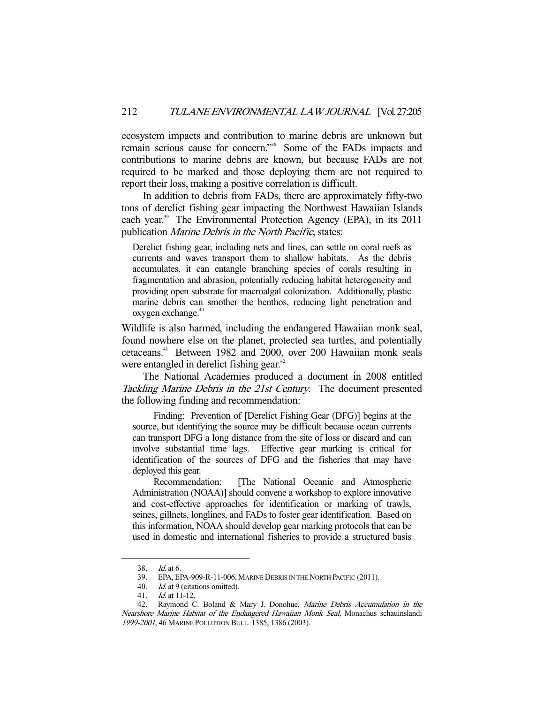ecosystem impacts and contribution to marine debris are unknown but remain serious cause for concern."38 Some of the FADs impacts and contributions to marine debris are known, but because FADs are not required to be marked and those deploying them are not required to report their loss, making a positive correlation is difficult.

 In addition to debris from FADs, there are approximately fifty-two tons of derelict fishing gear impacting the Northwest Hawaiian Islands each year.<sup>39</sup> The Environmental Protection Agency (EPA), in its 2011 publication Marine Debris in the North Pacific, states:

Derelict fishing gear, including nets and lines, can settle on coral reefs as currents and waves transport them to shallow habitats. As the debris accumulates, it can entangle branching species of corals resulting in fragmentation and abrasion, potentially reducing habitat heterogeneity and providing open substrate for macroalgal colonization. Additionally, plastic marine debris can smother the benthos, reducing light penetration and oxygen exchange.<sup>40</sup>

Wildlife is also harmed, including the endangered Hawaiian monk seal, found nowhere else on the planet, protected sea turtles, and potentially cetaceans.41 Between 1982 and 2000, over 200 Hawaiian monk seals were entangled in derelict fishing gear.<sup>42</sup>

 The National Academies produced a document in 2008 entitled Tackling Marine Debris in the 21st Century. The document presented the following finding and recommendation:

 Finding: Prevention of [Derelict Fishing Gear (DFG)] begins at the source, but identifying the source may be difficult because ocean currents can transport DFG a long distance from the site of loss or discard and can involve substantial time lags. Effective gear marking is critical for identification of the sources of DFG and the fisheries that may have deployed this gear.

 Recommendation: [The National Oceanic and Atmospheric Administration (NOAA)] should convene a workshop to explore innovative and cost-effective approaches for identification or marking of trawls, seines, gillnets, longlines, and FADs to foster gear identification. Based on this information, NOAA should develop gear marking protocols that can be used in domestic and international fisheries to provide a structured basis

<sup>38.</sup> *Id.* at 6.<br>39. EPA, El EPA, EPA-909-R-11-006, MARINE DEBRIS IN THE NORTH PACIFIC (2011).

 <sup>40.</sup> Id. at 9 (citations omitted).

<sup>41.</sup> *Id.* at 11-12.<br>42. Raymond C

Raymond C. Boland & Mary J. Donohue, Marine Debris Accumulation in the Nearshore Marine Habitat of the Endangered Hawaiian Monk Seal, Monachus schauinslandi 1999-2001, 46 MARINE POLLUTION BULL. 1385, 1386 (2003).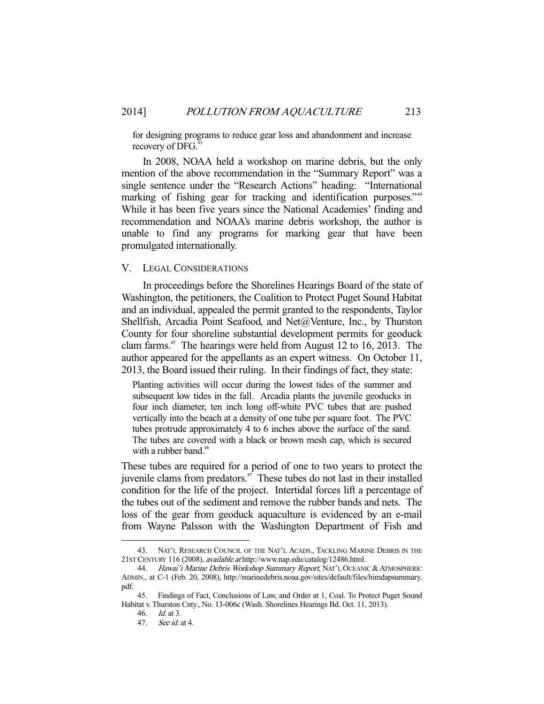for designing programs to reduce gear loss and abandonment and increase recovery of DFG. $4$ 

 In 2008, NOAA held a workshop on marine debris, but the only mention of the above recommendation in the "Summary Report" was a single sentence under the "Research Actions" heading: "International marking of fishing gear for tracking and identification purposes."<sup>44</sup> While it has been five years since the National Academies' finding and recommendation and NOAA's marine debris workshop, the author is unable to find any programs for marking gear that have been promulgated internationally.

# V. LEGAL CONSIDERATIONS

 In proceedings before the Shorelines Hearings Board of the state of Washington, the petitioners, the Coalition to Protect Puget Sound Habitat and an individual, appealed the permit granted to the respondents, Taylor Shellfish, Arcadia Point Seafood, and Net@Venture, Inc., by Thurston County for four shoreline substantial development permits for geoduck clam farms.45 The hearings were held from August 12 to 16, 2013. The author appeared for the appellants as an expert witness. On October 11, 2013, the Board issued their ruling. In their findings of fact, they state:

Planting activities will occur during the lowest tides of the summer and subsequent low tides in the fall. Arcadia plants the juvenile geoducks in four inch diameter, ten inch long off-white PVC tubes that are pushed vertically into the beach at a density of one tube per square foot. The PVC tubes protrude approximately 4 to 6 inches above the surface of the sand. The tubes are covered with a black or brown mesh cap, which is secured with a rubber band. $46$ 

These tubes are required for a period of one to two years to protect the juvenile clams from predators. $47$  These tubes do not last in their installed condition for the life of the project. Intertidal forces lift a percentage of the tubes out of the sediment and remove the rubber bands and nets. The loss of the gear from geoduck aquaculture is evidenced by an e-mail from Wayne Palsson with the Washington Department of Fish and

 <sup>43.</sup> NAT'L RESEARCH COUNCIL OF THE NAT'L ACADS., TACKLING MARINE DEBRIS IN THE 21ST CENTURY 116 (2008), available at http://www.nap.edu/catalog/12486.html.

<sup>44.</sup> Hawai'i Marine Debris Workshop Summary Report, NAT'L OCEANIC & ATMOSPHERIC ADMIN., at C-1 (Feb. 20, 2008), http://marinedebris.noaa.gov/sites/default/files/himdapsummary. pdf.

 <sup>45.</sup> Findings of Fact, Conclusions of Law, and Order at 1, Coal. To Protect Puget Sound Habitat v. Thurston Cnty., No. 13-006c (Wash. Shorelines Hearings Bd. Oct. 11, 2013).

 <sup>46.</sup> Id. at 3.

 <sup>47.</sup> See id. at 4.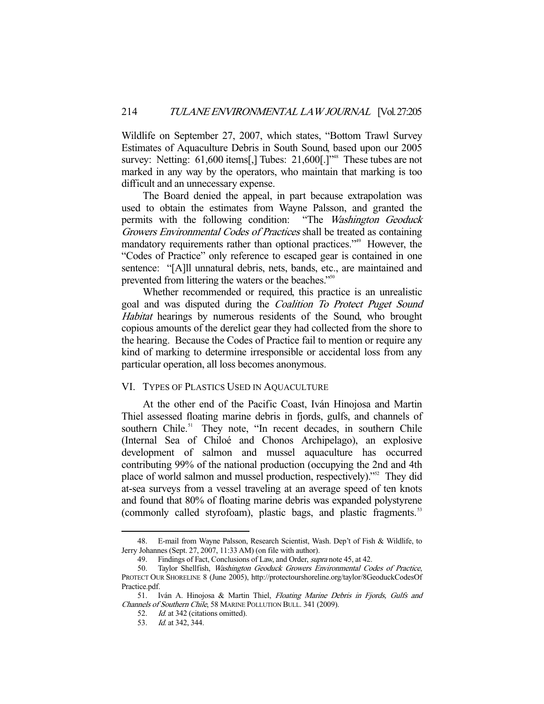Wildlife on September 27, 2007, which states, "Bottom Trawl Survey Estimates of Aquaculture Debris in South Sound, based upon our 2005 survey: Netting:  $61,600$  items[,] Tubes:  $21,600$ [.]<sup>"48</sup> These tubes are not marked in any way by the operators, who maintain that marking is too difficult and an unnecessary expense.

 The Board denied the appeal, in part because extrapolation was used to obtain the estimates from Wayne Palsson, and granted the permits with the following condition: "The Washington Geoduck Growers Environmental Codes of Practices shall be treated as containing mandatory requirements rather than optional practices."<sup>49</sup> However, the "Codes of Practice" only reference to escaped gear is contained in one sentence: "[A]ll unnatural debris, nets, bands, etc., are maintained and prevented from littering the waters or the beaches."<sup>50</sup>

 Whether recommended or required, this practice is an unrealistic goal and was disputed during the Coalition To Protect Puget Sound Habitat hearings by numerous residents of the Sound, who brought copious amounts of the derelict gear they had collected from the shore to the hearing. Because the Codes of Practice fail to mention or require any kind of marking to determine irresponsible or accidental loss from any particular operation, all loss becomes anonymous.

### VI. TYPES OF PLASTICS USED IN AQUACULTURE

 At the other end of the Pacific Coast, Iván Hinojosa and Martin Thiel assessed floating marine debris in fjords, gulfs, and channels of southern Chile.<sup>51</sup> They note, "In recent decades, in southern Chile (Internal Sea of Chiloé and Chonos Archipelago), an explosive development of salmon and mussel aquaculture has occurred contributing 99% of the national production (occupying the 2nd and 4th place of world salmon and mussel production, respectively)."52 They did at-sea surveys from a vessel traveling at an average speed of ten knots and found that 80% of floating marine debris was expanded polystyrene (commonly called styrofoam), plastic bags, and plastic fragments.<sup>53</sup>

 <sup>48.</sup> E-mail from Wayne Palsson, Research Scientist, Wash. Dep't of Fish & Wildlife, to Jerry Johannes (Sept. 27, 2007, 11:33 AM) (on file with author).

<sup>49.</sup> Findings of Fact, Conclusions of Law, and Order, *supra* note 45, at 42.

 <sup>50.</sup> Taylor Shellfish, Washington Geoduck Growers Environmental Codes of Practice, PROTECT OUR SHORELINE 8 (June 2005), http://protectourshoreline.org/taylor/8GeoduckCodesOf Practice.pdf.

<sup>51.</sup> Iván A. Hinojosa & Martin Thiel, Floating Marine Debris in Fjords, Gulfs and Channels of Southern Chile, 58 MARINE POLLUTION BULL. 341 (2009).

<sup>52.</sup> *Id.* at 342 (citations omitted).

 <sup>53.</sup> Id. at 342, 344.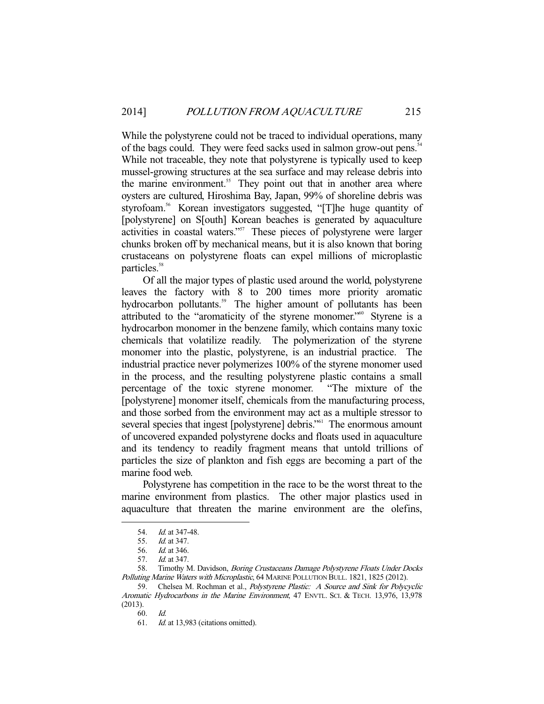While the polystyrene could not be traced to individual operations, many of the bags could. They were feed sacks used in salmon grow-out pens.<sup>54</sup> While not traceable, they note that polystyrene is typically used to keep mussel-growing structures at the sea surface and may release debris into the marine environment.<sup>55</sup> They point out that in another area where oysters are cultured, Hiroshima Bay, Japan, 99% of shoreline debris was styrofoam.<sup>56</sup> Korean investigators suggested, "[T]he huge quantity of [polystyrene] on S[outh] Korean beaches is generated by aquaculture activities in coastal waters."57 These pieces of polystyrene were larger chunks broken off by mechanical means, but it is also known that boring crustaceans on polystyrene floats can expel millions of microplastic particles.<sup>58</sup>

 Of all the major types of plastic used around the world, polystyrene leaves the factory with 8 to 200 times more priority aromatic hydrocarbon pollutants.<sup>59</sup> The higher amount of pollutants has been attributed to the "aromaticity of the styrene monomer."<sup>60</sup> Styrene is a hydrocarbon monomer in the benzene family, which contains many toxic chemicals that volatilize readily. The polymerization of the styrene monomer into the plastic, polystyrene, is an industrial practice. The industrial practice never polymerizes 100% of the styrene monomer used in the process, and the resulting polystyrene plastic contains a small percentage of the toxic styrene monomer. "The mixture of the [polystyrene] monomer itself, chemicals from the manufacturing process, and those sorbed from the environment may act as a multiple stressor to several species that ingest [polystyrene] debris."<sup>61</sup> The enormous amount of uncovered expanded polystyrene docks and floats used in aquaculture and its tendency to readily fragment means that untold trillions of particles the size of plankton and fish eggs are becoming a part of the marine food web.

 Polystyrene has competition in the race to be the worst threat to the marine environment from plastics. The other major plastics used in aquaculture that threaten the marine environment are the olefins,

 <sup>54.</sup> Id. at 347-48.

 <sup>55.</sup> Id. at 347.

 <sup>56.</sup> Id. at 346.

 <sup>57.</sup> Id. at 347.

<sup>58.</sup> Timothy M. Davidson, Boring Crustaceans Damage Polystyrene Floats Under Docks Polluting Marine Waters with Microplastic, 64 MARINE POLLUTION BULL. 1821, 1825 (2012).

 <sup>59.</sup> Chelsea M. Rochman et al., Polystyrene Plastic: A Source and Sink for Polycyclic Aromatic Hydrocarbons in the Marine Environment, 47 ENVTL. SCI. & TECH. 13,976, 13,978 (2013).

 <sup>60.</sup> Id.

 <sup>61.</sup> Id. at 13,983 (citations omitted).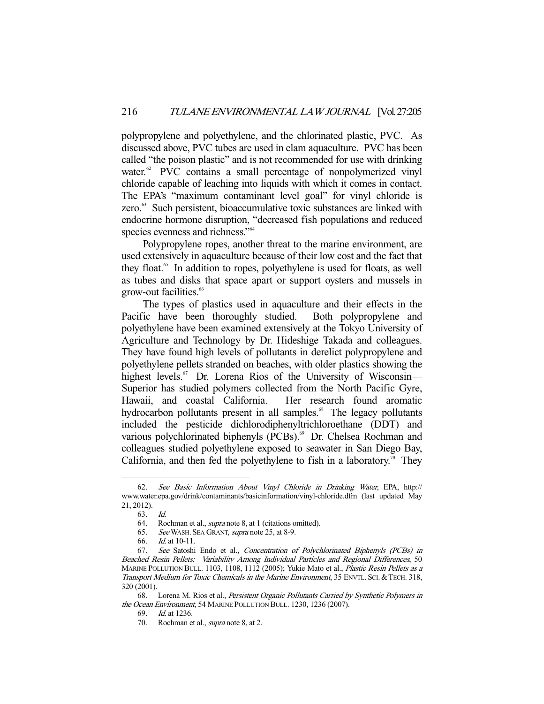polypropylene and polyethylene, and the chlorinated plastic, PVC. As discussed above, PVC tubes are used in clam aquaculture. PVC has been called "the poison plastic" and is not recommended for use with drinking water.<sup>62</sup> PVC contains a small percentage of nonpolymerized vinyl chloride capable of leaching into liquids with which it comes in contact. The EPA's "maximum contaminant level goal" for vinyl chloride is zero.<sup>63</sup> Such persistent, bioaccumulative toxic substances are linked with endocrine hormone disruption, "decreased fish populations and reduced species evenness and richness."<sup>64</sup>

 Polypropylene ropes, another threat to the marine environment, are used extensively in aquaculture because of their low cost and the fact that they float.65 In addition to ropes, polyethylene is used for floats, as well as tubes and disks that space apart or support oysters and mussels in grow-out facilities.<sup>66</sup>

 The types of plastics used in aquaculture and their effects in the Pacific have been thoroughly studied. Both polypropylene and polyethylene have been examined extensively at the Tokyo University of Agriculture and Technology by Dr. Hideshige Takada and colleagues. They have found high levels of pollutants in derelict polypropylene and polyethylene pellets stranded on beaches, with older plastics showing the highest levels.<sup>67</sup> Dr. Lorena Rios of the University of Wisconsin-Superior has studied polymers collected from the North Pacific Gyre, Hawaii, and coastal California. Her research found aromatic hydrocarbon pollutants present in all samples.<sup>68</sup> The legacy pollutants included the pesticide dichlorodiphenyltrichloroethane (DDT) and various polychlorinated biphenyls (PCBs).<sup>69</sup> Dr. Chelsea Rochman and colleagues studied polyethylene exposed to seawater in San Diego Bay, California, and then fed the polyethylene to fish in a laboratory.<sup>70</sup> They

 <sup>62.</sup> See Basic Information About Vinyl Chloride in Drinking Water, EPA, http:// www.water.epa.gov/drink/contaminants/basicinformation/vinyl-chloride.dfm (last updated May 21, 2012).

 <sup>63.</sup> Id.

 <sup>64.</sup> Rochman et al., supra note 8, at 1 (citations omitted).

 <sup>65.</sup> See WASH. SEA GRANT, supra note 25, at 8-9.

 <sup>66.</sup> Id. at 10-11.

 <sup>67.</sup> See Satoshi Endo et al., Concentration of Polychlorinated Biphenyls (PCBs) in Beached Resin Pellets: Variability Among Individual Particles and Regional Differences, 50 MARINE POLLUTION BULL. 1103, 1108, 1112 (2005); Yukie Mato et al., Plastic Resin Pellets as a Transport Medium for Toxic Chemicals in the Marine Environment, 35 ENVTL. SCI. &TECH. 318, 320 (2001).

<sup>68.</sup> Lorena M. Rios et al., Persistent Organic Pollutants Carried by Synthetic Polymers in the Ocean Environment, 54 MARINE POLLUTION BULL. 1230, 1236 (2007).

 <sup>69.</sup> Id. at 1236.

<sup>70.</sup> Rochman et al., *supra* note 8, at 2.